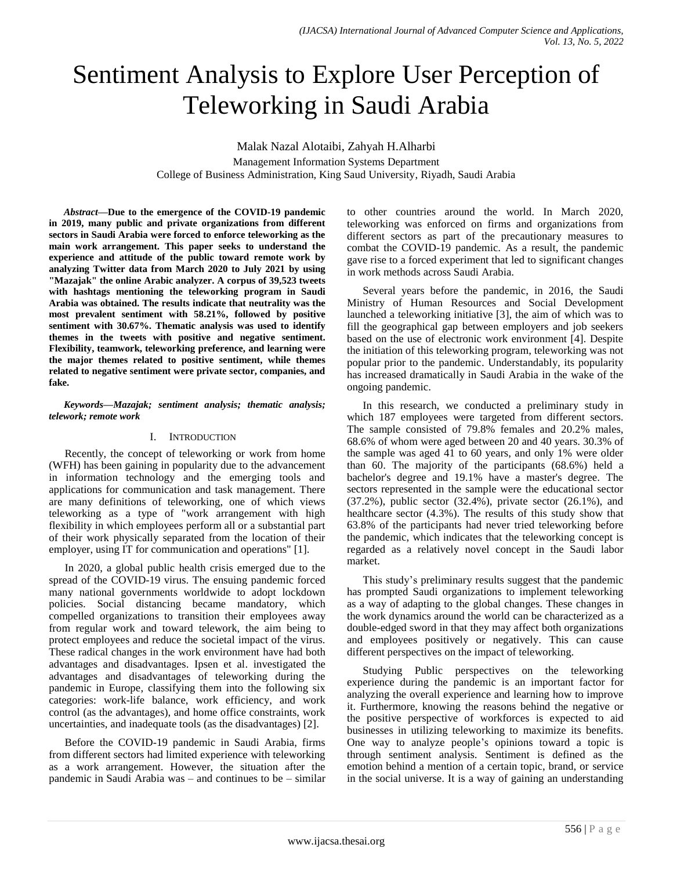# Sentiment Analysis to Explore User Perception of Teleworking in Saudi Arabia

Malak Nazal Alotaibi, Zahyah H.Alharbi

Management Information Systems Department College of Business Administration, King Saud University, Riyadh, Saudi Arabia

*Abstract***—Due to the emergence of the COVID-19 pandemic in 2019, many public and private organizations from different sectors in Saudi Arabia were forced to enforce teleworking as the main work arrangement. This paper seeks to understand the experience and attitude of the public toward remote work by analyzing Twitter data from March 2020 to July 2021 by using "Mazajak" the online Arabic analyzer. A corpus of 39,523 tweets with hashtags mentioning the teleworking program in Saudi Arabia was obtained. The results indicate that neutrality was the most prevalent sentiment with 58.21%, followed by positive sentiment with 30.67%. Thematic analysis was used to identify themes in the tweets with positive and negative sentiment. Flexibility, teamwork, teleworking preference, and learning were the major themes related to positive sentiment, while themes related to negative sentiment were private sector, companies, and fake.**

*Keywords—Mazajak; sentiment analysis; thematic analysis; telework; remote work*

## I. INTRODUCTION

Recently, the concept of teleworking or work from home (WFH) has been gaining in popularity due to the advancement in information technology and the emerging tools and applications for communication and task management. There are many definitions of teleworking, one of which views teleworking as a type of "work arrangement with high flexibility in which employees perform all or a substantial part of their work physically separated from the location of their employer, using IT for communication and operations" [1].

In 2020, a global public health crisis emerged due to the spread of the COVID-19 virus. The ensuing pandemic forced many national governments worldwide to adopt lockdown policies. Social distancing became mandatory, which compelled organizations to transition their employees away from regular work and toward telework, the aim being to protect employees and reduce the societal impact of the virus. These radical changes in the work environment have had both advantages and disadvantages. Ipsen et al. investigated the advantages and disadvantages of teleworking during the pandemic in Europe, classifying them into the following six categories: work-life balance, work efficiency, and work control (as the advantages), and home office constraints, work uncertainties, and inadequate tools (as the disadvantages) [2].

Before the COVID-19 pandemic in Saudi Arabia, firms from different sectors had limited experience with teleworking as a work arrangement. However, the situation after the pandemic in Saudi Arabia was – and continues to be – similar to other countries around the world. In March 2020, teleworking was enforced on firms and organizations from different sectors as part of the precautionary measures to combat the COVID-19 pandemic. As a result, the pandemic gave rise to a forced experiment that led to significant changes in work methods across Saudi Arabia.

Several years before the pandemic, in 2016, the Saudi Ministry of Human Resources and Social Development launched a teleworking initiative [3], the aim of which was to fill the geographical gap between employers and job seekers based on the use of electronic work environment [4]. Despite the initiation of this teleworking program, teleworking was not popular prior to the pandemic. Understandably, its popularity has increased dramatically in Saudi Arabia in the wake of the ongoing pandemic.

In this research, we conducted a preliminary study in which 187 employees were targeted from different sectors. The sample consisted of 79.8% females and 20.2% males, 68.6% of whom were aged between 20 and 40 years. 30.3% of the sample was aged 41 to 60 years, and only 1% were older than 60. The majority of the participants (68.6%) held a bachelor's degree and 19.1% have a master's degree. The sectors represented in the sample were the educational sector (37.2%), public sector (32.4%), private sector (26.1%), and healthcare sector (4.3%). The results of this study show that 63.8% of the participants had never tried teleworking before the pandemic, which indicates that the teleworking concept is regarded as a relatively novel concept in the Saudi labor market.

This study's preliminary results suggest that the pandemic has prompted Saudi organizations to implement teleworking as a way of adapting to the global changes. These changes in the work dynamics around the world can be characterized as a double-edged sword in that they may affect both organizations and employees positively or negatively. This can cause different perspectives on the impact of teleworking.

Studying Public perspectives on the teleworking experience during the pandemic is an important factor for analyzing the overall experience and learning how to improve it. Furthermore, knowing the reasons behind the negative or the positive perspective of workforces is expected to aid businesses in utilizing teleworking to maximize its benefits. One way to analyze people's opinions toward a topic is through sentiment analysis. Sentiment is defined as the emotion behind a mention of a certain topic, brand, or service in the social universe. It is a way of gaining an understanding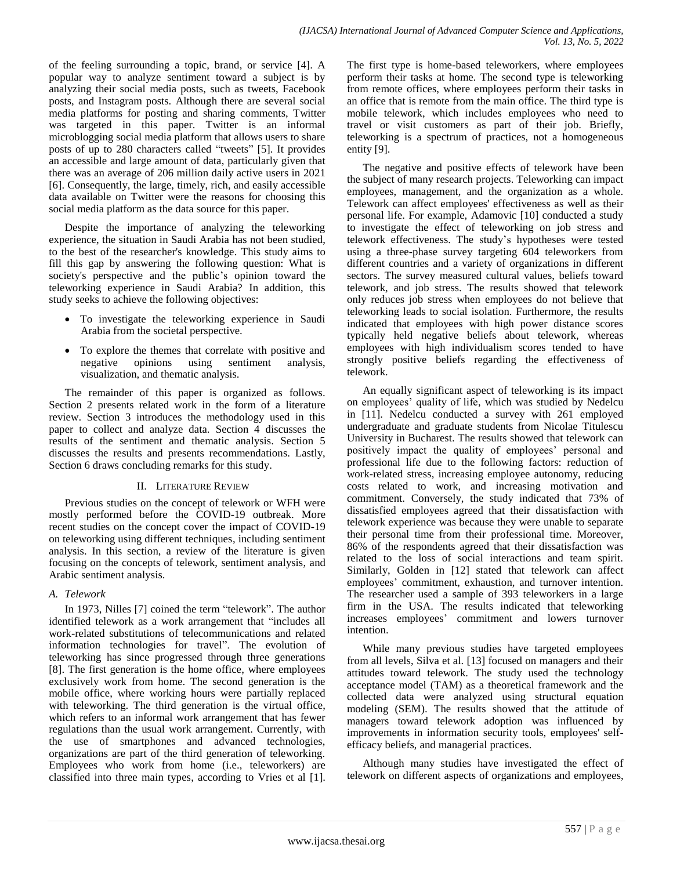of the feeling surrounding a topic, brand, or service [4]. A popular way to analyze sentiment toward a subject is by analyzing their social media posts, such as tweets, Facebook posts, and Instagram posts. Although there are several social media platforms for posting and sharing comments, Twitter was targeted in this paper. Twitter is an informal microblogging social media platform that allows users to share posts of up to 280 characters called "tweets" [5]. It provides an accessible and large amount of data, particularly given that there was an average of 206 million daily active users in 2021 [6]. Consequently, the large, timely, rich, and easily accessible data available on Twitter were the reasons for choosing this social media platform as the data source for this paper.

Despite the importance of analyzing the teleworking experience, the situation in Saudi Arabia has not been studied, to the best of the researcher's knowledge. This study aims to fill this gap by answering the following question: What is society's perspective and the public's opinion toward the teleworking experience in Saudi Arabia? In addition, this study seeks to achieve the following objectives:

- To investigate the teleworking experience in Saudi Arabia from the societal perspective.
- To explore the themes that correlate with positive and negative opinions using sentiment analysis, visualization, and thematic analysis.

The remainder of this paper is organized as follows. Section 2 presents related work in the form of a literature review. Section 3 introduces the methodology used in this paper to collect and analyze data. Section 4 discusses the results of the sentiment and thematic analysis. Section 5 discusses the results and presents recommendations. Lastly, Section 6 draws concluding remarks for this study.

# II. LITERATURE REVIEW

Previous studies on the concept of telework or WFH were mostly performed before the COVID-19 outbreak. More recent studies on the concept cover the impact of COVID-19 on teleworking using different techniques, including sentiment analysis. In this section, a review of the literature is given focusing on the concepts of telework, sentiment analysis, and Arabic sentiment analysis.

# *A. Telework*

In 1973, Nilles [7] coined the term "telework". The author identified telework as a work arrangement that "includes all work-related substitutions of telecommunications and related information technologies for travel". The evolution of teleworking has since progressed through three generations [8]. The first generation is the home office, where employees exclusively work from home. The second generation is the mobile office, where working hours were partially replaced with teleworking. The third generation is the virtual office, which refers to an informal work arrangement that has fewer regulations than the usual work arrangement. Currently, with the use of smartphones and advanced technologies, organizations are part of the third generation of teleworking. Employees who work from home (i.e., teleworkers) are classified into three main types, according to Vries et al [1]. The first type is home-based teleworkers, where employees perform their tasks at home. The second type is teleworking from remote offices, where employees perform their tasks in an office that is remote from the main office. The third type is mobile telework, which includes employees who need to travel or visit customers as part of their job. Briefly, teleworking is a spectrum of practices, not a homogeneous entity [9].

The negative and positive effects of telework have been the subject of many research projects. Teleworking can impact employees, management, and the organization as a whole. Telework can affect employees' effectiveness as well as their personal life. For example, Adamovic [10] conducted a study to investigate the effect of teleworking on job stress and telework effectiveness. The study's hypotheses were tested using a three-phase survey targeting 604 teleworkers from different countries and a variety of organizations in different sectors. The survey measured cultural values, beliefs toward telework, and job stress. The results showed that telework only reduces job stress when employees do not believe that teleworking leads to social isolation. Furthermore, the results indicated that employees with high power distance scores typically held negative beliefs about telework, whereas employees with high individualism scores tended to have strongly positive beliefs regarding the effectiveness of telework.

An equally significant aspect of teleworking is its impact on employees' quality of life, which was studied by Nedelcu in [11]. Nedelcu conducted a survey with 261 employed undergraduate and graduate students from Nicolae Titulescu University in Bucharest. The results showed that telework can positively impact the quality of employees' personal and professional life due to the following factors: reduction of work-related stress, increasing employee autonomy, reducing costs related to work, and increasing motivation and commitment. Conversely, the study indicated that 73% of dissatisfied employees agreed that their dissatisfaction with telework experience was because they were unable to separate their personal time from their professional time. Moreover, 86% of the respondents agreed that their dissatisfaction was related to the loss of social interactions and team spirit. Similarly, Golden in [12] stated that telework can affect employees' commitment, exhaustion, and turnover intention. The researcher used a sample of 393 teleworkers in a large firm in the USA. The results indicated that teleworking increases employees' commitment and lowers turnover intention.

While many previous studies have targeted employees from all levels, Silva et al. [13] focused on managers and their attitudes toward telework. The study used the technology acceptance model (TAM) as a theoretical framework and the collected data were analyzed using structural equation modeling (SEM). The results showed that the attitude of managers toward telework adoption was influenced by improvements in information security tools, employees' selfefficacy beliefs, and managerial practices.

Although many studies have investigated the effect of telework on different aspects of organizations and employees,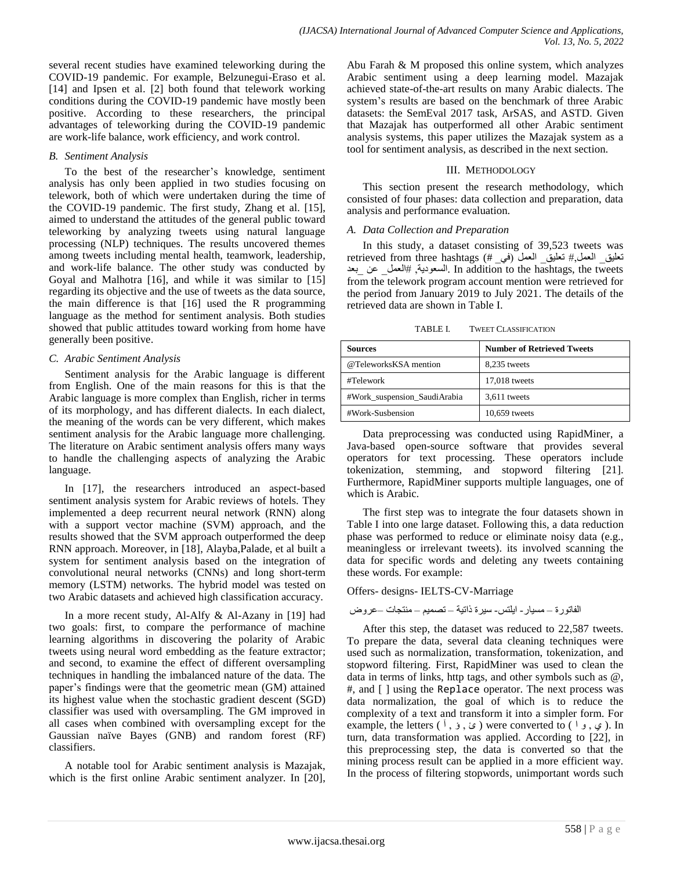several recent studies have examined teleworking during the COVID-19 pandemic. For example, Belzunegui-Eraso et al. [14] and Ipsen et al. [2] both found that telework working conditions during the COVID-19 pandemic have mostly been positive. According to these researchers, the principal advantages of teleworking during the COVID-19 pandemic are work-life balance, work efficiency, and work control.

#### *B. Sentiment Analysis*

To the best of the researcher's knowledge, sentiment analysis has only been applied in two studies focusing on telework, both of which were undertaken during the time of the COVID-19 pandemic. The first study, Zhang et al. [15], aimed to understand the attitudes of the general public toward teleworking by analyzing tweets using natural language processing (NLP) techniques. The results uncovered themes among tweets including mental health, teamwork, leadership, and work-life balance. The other study was conducted by Goyal and Malhotra [16], and while it was similar to [15] regarding its objective and the use of tweets as the data source, the main difference is that [16] used the R programming language as the method for sentiment analysis. Both studies showed that public attitudes toward working from home have generally been positive.

## *C. Arabic Sentiment Analysis*

Sentiment analysis for the Arabic language is different from English. One of the main reasons for this is that the Arabic language is more complex than English, richer in terms of its morphology, and has different dialects. In each dialect, the meaning of the words can be very different, which makes sentiment analysis for the Arabic language more challenging. The literature on Arabic sentiment analysis offers many ways to handle the challenging aspects of analyzing the Arabic language.

In [17], the researchers introduced an aspect-based sentiment analysis system for Arabic reviews of hotels. They implemented a deep recurrent neural network (RNN) along with a support vector machine (SVM) approach, and the results showed that the SVM approach outperformed the deep RNN approach. Moreover, in [18], Alayba,Palade, et al built a system for sentiment analysis based on the integration of convolutional neural networks (CNNs) and long short-term memory (LSTM) networks. The hybrid model was tested on two Arabic datasets and achieved high classification accuracy.

In a more recent study, Al-Alfy & Al-Azany in [19] had two goals: first, to compare the performance of machine learning algorithms in discovering the polarity of Arabic tweets using neural word embedding as the feature extractor; and second, to examine the effect of different oversampling techniques in handling the imbalanced nature of the data. The paper's findings were that the geometric mean (GM) attained its highest value when the stochastic gradient descent (SGD) classifier was used with oversampling. The GM improved in all cases when combined with oversampling except for the Gaussian naïve Bayes (GNB) and random forest (RF) classifiers.

A notable tool for Arabic sentiment analysis is Mazajak, which is the first online Arabic sentiment analyzer. In [20], Abu Farah & M proposed this online system, which analyzes Arabic sentiment using a deep learning model. Mazajak achieved state-of-the-art results on many Arabic dialects. The system's results are based on the benchmark of three Arabic datasets: the SemEval 2017 task, ArSAS, and ASTD. Given that Mazajak has outperformed all other Arabic sentiment analysis systems, this paper utilizes the Mazajak system as a tool for sentiment analysis, as described in the next section.

#### III. METHODOLOGY

This section present the research methodology, which consisted of four phases: data collection and preparation, data analysis and performance evaluation.

## *A. Data Collection and Preparation*

In this study, a dataset consisting of 39,523 tweets was تعليق\_ العمل,# تعليق\_ العمل (في\_ #) retrieved from three hashtags بالعمل عن بعد In addition to the hashtags, the tweets from the telework program account mention were retrieved for the period from January 2019 to July 2021. The details of the retrieved data are shown in Table I.

TABLE I. TWEET CLASSIFICATION

| Sources                      | <b>Number of Retrieved Tweets</b> |
|------------------------------|-----------------------------------|
| @TeleworksKSA mention        | 8,235 tweets                      |
| #Telework                    | 17,018 tweets                     |
| #Work_suspension_SaudiArabia | 3,611 tweets                      |
| #Work-Susbension             | 10,659 tweets                     |

Data preprocessing was conducted using RapidMiner, a Java-based open-source software that provides several operators for text processing. These operators include tokenization, stemming, and stopword filtering [21]. Furthermore, RapidMiner supports multiple languages, one of which is Arabic.

The first step was to integrate the four datasets shown in Table I into one large dataset. Following this, a data reduction phase was performed to reduce or eliminate noisy data (e.g., meaningless or irrelevant tweets). its involved scanning the data for specific words and deleting any tweets containing these words. For example:

Offers- designs- IELTS-CV-Marriage

الفاتورة – مسٍار- اٌلتس- سٍرة ذاتٍت – تصمٍم – مىتجاث –عروض

After this step, the dataset was reduced to 22,587 tweets. To prepare the data, several data cleaning techniques were used such as normalization, transformation, tokenization, and stopword filtering. First, RapidMiner was used to clean the data in terms of links, http tags, and other symbols such as  $@$ , #, and [ ] using the Replace operator. The next process was data normalization, the goal of which is to reduce the complexity of a text and transform it into a simpler form. For example, the letters (  $\delta$ ,  $\delta$ ,  $\delta$ ) were converted to (  $\delta$ ,  $\epsilon$ ). In turn, data transformation was applied. According to [22], in this preprocessing step, the data is converted so that the mining process result can be applied in a more efficient way. In the process of filtering stopwords, unimportant words such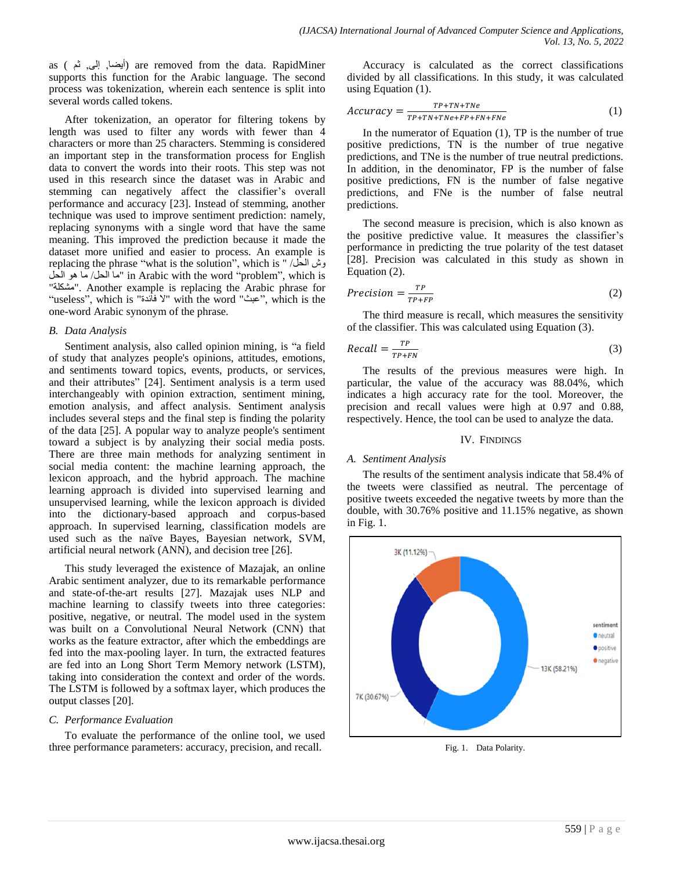as (أيضا, إلى, ثم) are removed from the data. RapidMiner supports this function for the Arabic language. The second process was tokenization, wherein each sentence is split into several words called tokens.

After tokenization, an operator for filtering tokens by length was used to filter any words with fewer than 4 characters or more than 25 characters. Stemming is considered an important step in the transformation process for English data to convert the words into their roots. This step was not used in this research since the dataset was in Arabic and stemming can negatively affect the classifier's overall performance and accuracy [23]. Instead of stemming, another technique was used to improve sentiment prediction: namely, replacing synonyms with a single word that have the same meaning. This improved the prediction because it made the dataset more unified and easier to process. An example is replacing the phrase "what is the solution", which is " /الحل وش الحل/ ما هو الحل" in Arabic with the word "problem", which is "مشكلت". Another example is replacing the Arabic phrase for "useless", which is "فائدة ال "with the word "عبث", which is the one-word Arabic synonym of the phrase.

#### *B. Data Analysis*

Sentiment analysis, also called opinion mining, is "a field of study that analyzes people's opinions, attitudes, emotions, and sentiments toward topics, events, products, or services, and their attributes" [24]. Sentiment analysis is a term used interchangeably with opinion extraction, sentiment mining, emotion analysis, and affect analysis. Sentiment analysis includes several steps and the final step is finding the polarity of the data [25]. A popular way to analyze people's sentiment toward a subject is by analyzing their social media posts. There are three main methods for analyzing sentiment in social media content: the machine learning approach, the lexicon approach, and the hybrid approach. The machine learning approach is divided into supervised learning and unsupervised learning, while the lexicon approach is divided into the dictionary-based approach and corpus-based approach. In supervised learning, classification models are used such as the naïve Bayes, Bayesian network, SVM, artificial neural network (ANN), and decision tree [26].

This study leveraged the existence of Mazajak, an online Arabic sentiment analyzer, due to its remarkable performance and state-of-the-art results [27]. Mazajak uses NLP and machine learning to classify tweets into three categories: positive, negative, or neutral. The model used in the system was built on a Convolutional Neural Network (CNN) that works as the feature extractor, after which the embeddings are fed into the max-pooling layer. In turn, the extracted features are fed into an Long Short Term Memory network (LSTM), taking into consideration the context and order of the words. The LSTM is followed by a softmax layer, which produces the output classes [20].

## *C. Performance Evaluation*

To evaluate the performance of the online tool, we used three performance parameters: accuracy, precision, and recall.

Accuracy is calculated as the correct classifications divided by all classifications. In this study, it was calculated using Equation (1).

$$
Accuracy = \frac{TP + TN + TN e}{TP + TN + TN e + FP + FN + FNe} \tag{1}
$$

In the numerator of Equation  $(1)$ , TP is the number of true positive predictions, TN is the number of true negative predictions, and TNe is the number of true neutral predictions. In addition, in the denominator, FP is the number of false positive predictions, FN is the number of false negative predictions, and FNe is the number of false neutral predictions.

The second measure is precision, which is also known as the positive predictive value. It measures the classifier's performance in predicting the true polarity of the test dataset [28]. Precision was calculated in this study as shown in Equation (2).

$$
Precision = \frac{TP}{TP + FP}
$$
 (2)

The third measure is recall, which measures the sensitivity of the classifier. This was calculated using Equation (3).

$$
Recall = \frac{TP}{TP+FN}
$$
 (3)

The results of the previous measures were high. In particular, the value of the accuracy was 88.04%, which indicates a high accuracy rate for the tool. Moreover, the precision and recall values were high at 0.97 and 0.88, respectively. Hence, the tool can be used to analyze the data.

## IV. FINDINGS

## *A. Sentiment Analysis*

The results of the sentiment analysis indicate that 58.4% of the tweets were classified as neutral. The percentage of positive tweets exceeded the negative tweets by more than the double, with 30.76% positive and 11.15% negative, as shown in Fig. 1.



Fig. 1. Data Polarity.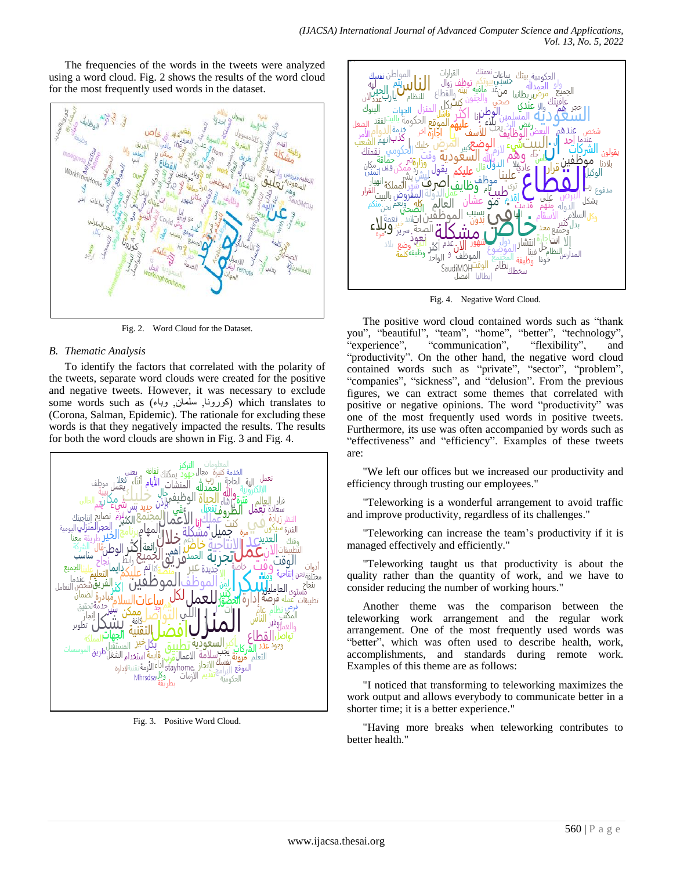The frequencies of the words in the tweets were analyzed using a word cloud. Fig. 2 shows the results of the word cloud for the most frequently used words in the dataset.



Fig. 2. Word Cloud for the Dataset.

# *B. Thematic Analysis*

To identify the factors that correlated with the polarity of the tweets, separate word clouds were created for the positive and negative tweets. However, it was necessary to exclude some words such as (وبونا, سلمان, وباء) which translates to (Corona, Salman, Epidemic). The rationale for excluding these words is that they negatively impacted the results. The results for both the word clouds are shown in Fig. 3 and Fig. 4.



Fig. 3. Positive Word Cloud.



Fig. 4. Negative Word Cloud.

The positive word cloud contained words such as "thank you", "beautiful", "team", "home", "better", "technology", "experience", "communication", "flexibility", and "productivity". On the other hand, the negative word cloud contained words such as "private", "sector", "problem", "companies", "sickness", and "delusion". From the previous figures, we can extract some themes that correlated with positive or negative opinions. The word "productivity" was one of the most frequently used words in positive tweets. Furthermore, its use was often accompanied by words such as "effectiveness" and "efficiency". Examples of these tweets are:

"We left our offices but we increased our productivity and efficiency through trusting our employees."

"Teleworking is a wonderful arrangement to avoid traffic and improve productivity, regardless of its challenges."

"Teleworking can increase the team's productivity if it is managed effectively and efficiently."

"Teleworking taught us that productivity is about the quality rather than the quantity of work, and we have to consider reducing the number of working hours."

Another theme was the comparison between the teleworking work arrangement and the regular work arrangement. One of the most frequently used words was "better", which was often used to describe health, work, accomplishments, and standards during remote work. Examples of this theme are as follows:

"I noticed that transforming to teleworking maximizes the work output and allows everybody to communicate better in a shorter time; it is a better experience."

"Having more breaks when teleworking contributes to better health."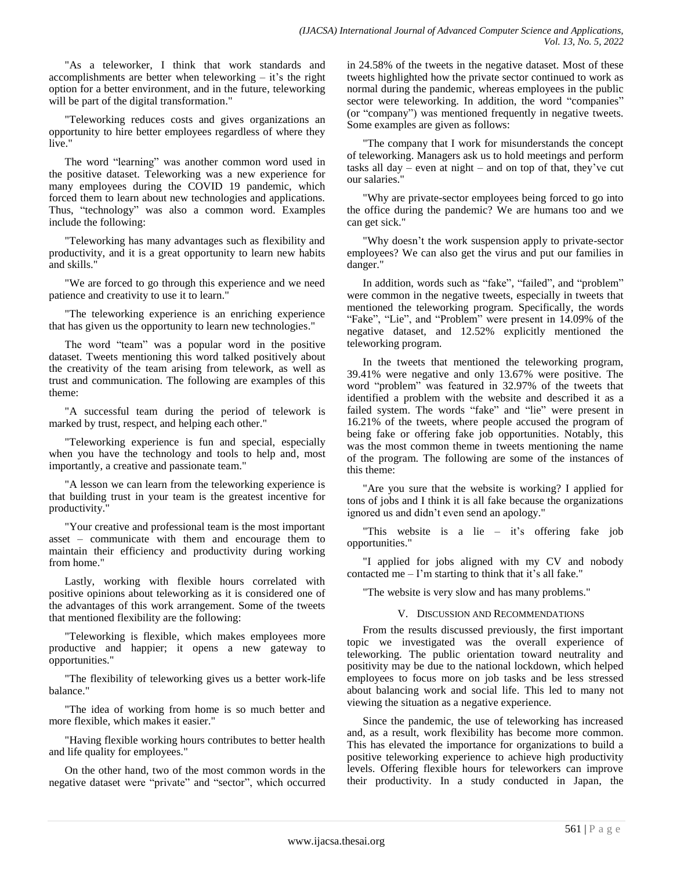"As a teleworker, I think that work standards and accomplishments are better when teleworking – it's the right option for a better environment, and in the future, teleworking will be part of the digital transformation."

"Teleworking reduces costs and gives organizations an opportunity to hire better employees regardless of where they live."

The word "learning" was another common word used in the positive dataset. Teleworking was a new experience for many employees during the COVID 19 pandemic, which forced them to learn about new technologies and applications. Thus, "technology" was also a common word. Examples include the following:

"Teleworking has many advantages such as flexibility and productivity, and it is a great opportunity to learn new habits and skills."

"We are forced to go through this experience and we need patience and creativity to use it to learn."

"The teleworking experience is an enriching experience that has given us the opportunity to learn new technologies."

The word "team" was a popular word in the positive dataset. Tweets mentioning this word talked positively about the creativity of the team arising from telework, as well as trust and communication. The following are examples of this theme:

"A successful team during the period of telework is marked by trust, respect, and helping each other."

"Teleworking experience is fun and special, especially when you have the technology and tools to help and, most importantly, a creative and passionate team."

"A lesson we can learn from the teleworking experience is that building trust in your team is the greatest incentive for productivity."

"Your creative and professional team is the most important asset – communicate with them and encourage them to maintain their efficiency and productivity during working from home."

Lastly, working with flexible hours correlated with positive opinions about teleworking as it is considered one of the advantages of this work arrangement. Some of the tweets that mentioned flexibility are the following:

"Teleworking is flexible, which makes employees more productive and happier; it opens a new gateway to opportunities."

"The flexibility of teleworking gives us a better work-life balance."

"The idea of working from home is so much better and more flexible, which makes it easier."

"Having flexible working hours contributes to better health and life quality for employees."

On the other hand, two of the most common words in the negative dataset were "private" and "sector", which occurred in 24.58% of the tweets in the negative dataset. Most of these tweets highlighted how the private sector continued to work as normal during the pandemic, whereas employees in the public sector were teleworking. In addition, the word "companies" (or "company") was mentioned frequently in negative tweets. Some examples are given as follows:

"The company that I work for misunderstands the concept of teleworking. Managers ask us to hold meetings and perform tasks all  $day - even$  at night – and on top of that, they've cut our salaries."

"Why are private-sector employees being forced to go into the office during the pandemic? We are humans too and we can get sick."

"Why doesn't the work suspension apply to private-sector employees? We can also get the virus and put our families in danger."

In addition, words such as "fake", "failed", and "problem" were common in the negative tweets, especially in tweets that mentioned the teleworking program. Specifically, the words "Fake", "Lie", and "Problem" were present in 14.09% of the negative dataset, and 12.52% explicitly mentioned the teleworking program.

In the tweets that mentioned the teleworking program, 39.41% were negative and only 13.67% were positive. The word "problem" was featured in 32.97% of the tweets that identified a problem with the website and described it as a failed system. The words "fake" and "lie" were present in 16.21% of the tweets, where people accused the program of being fake or offering fake job opportunities. Notably, this was the most common theme in tweets mentioning the name of the program. The following are some of the instances of this theme:

"Are you sure that the website is working? I applied for tons of jobs and I think it is all fake because the organizations ignored us and didn't even send an apology."

"This website is a lie – it's offering fake job opportunities."

"I applied for jobs aligned with my CV and nobody contacted me  $-$  I'm starting to think that it's all fake."

"The website is very slow and has many problems."

## V. DISCUSSION AND RECOMMENDATIONS

From the results discussed previously, the first important topic we investigated was the overall experience of teleworking. The public orientation toward neutrality and positivity may be due to the national lockdown, which helped employees to focus more on job tasks and be less stressed about balancing work and social life. This led to many not viewing the situation as a negative experience.

Since the pandemic, the use of teleworking has increased and, as a result, work flexibility has become more common. This has elevated the importance for organizations to build a positive teleworking experience to achieve high productivity levels. Offering flexible hours for teleworkers can improve their productivity. In a study conducted in Japan, the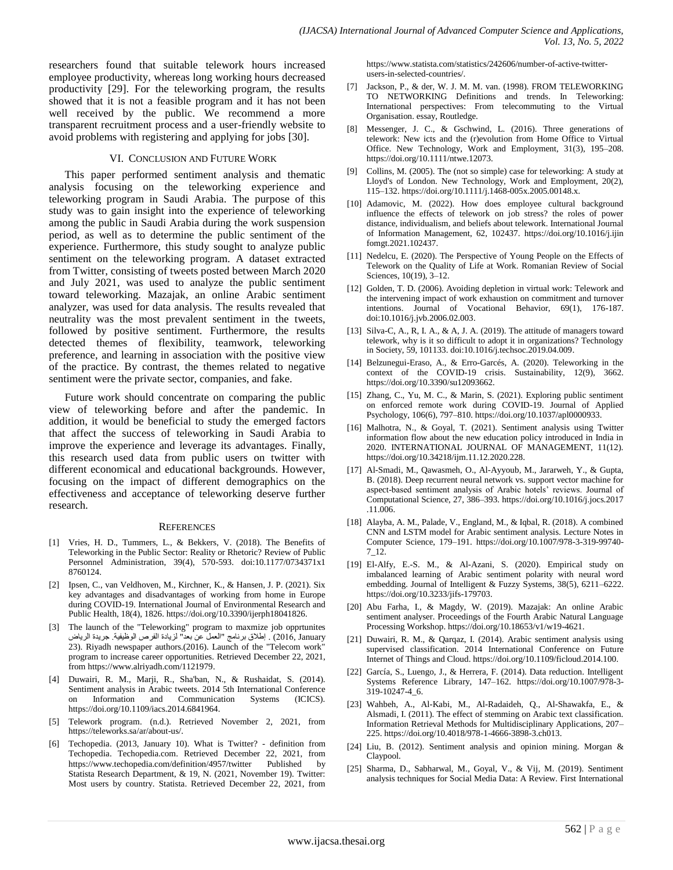researchers found that suitable telework hours increased employee productivity, whereas long working hours decreased productivity [29]. For the teleworking program, the results showed that it is not a feasible program and it has not been well received by the public. We recommend a more transparent recruitment process and a user-friendly website to avoid problems with registering and applying for jobs [30].

#### VI. CONCLUSION AND FUTURE WORK

This paper performed sentiment analysis and thematic analysis focusing on the teleworking experience and teleworking program in Saudi Arabia. The purpose of this study was to gain insight into the experience of teleworking among the public in Saudi Arabia during the work suspension period, as well as to determine the public sentiment of the experience. Furthermore, this study sought to analyze public sentiment on the teleworking program. A dataset extracted from Twitter, consisting of tweets posted between March 2020 and July 2021, was used to analyze the public sentiment toward teleworking. Mazajak, an online Arabic sentiment analyzer, was used for data analysis. The results revealed that neutrality was the most prevalent sentiment in the tweets, followed by positive sentiment. Furthermore, the results detected themes of flexibility, teamwork, teleworking preference, and learning in association with the positive view of the practice. By contrast, the themes related to negative sentiment were the private sector, companies, and fake.

Future work should concentrate on comparing the public view of teleworking before and after the pandemic. In addition, it would be beneficial to study the emerged factors that affect the success of teleworking in Saudi Arabia to improve the experience and leverage its advantages. Finally, this research used data from public users on twitter with different economical and educational backgrounds. However, focusing on the impact of different demographics on the effectiveness and acceptance of teleworking deserve further research.

#### **REFERENCES**

- [1] Vries, H. D., Tummers, L., & Bekkers, V. (2018). The Benefits of Teleworking in the Public Sector: Reality or Rhetoric? Review of Public Personnel Administration, 39(4), 570-593. doi:10.1177/0734371x1 8760124.
- [2] Ipsen, C., van Veldhoven, M., Kirchner, K., & Hansen, J. P. (2021). Six key advantages and disadvantages of working from home in Europe during COVID-19. International Journal of Environmental Research and Public Health, 18(4), 1826. https://doi.org/10.3390/ijerph18041826.
- [3] The launch of the "Teleworking" program to maxmize job opprtunites January 2012, (. إطالق بروامج "العمل عه بعد" لزٌادة الفرص الوظٍفٍت. جرٌدة الرٌاض 23). Riyadh newspaper authors.(2016). Launch of the "Telecom work" program to increase career opportunities. Retrieved December 22, 2021, from https://www.alriyadh.com/1121979.
- [4] Duwairi, R. M., Marji, R., Sha'ban, N., & Rushaidat, S. (2014). Sentiment analysis in Arabic tweets. 2014 5th International Conference<br>on Information and Communication Systems (ICICS). on Information and Communication https://doi.org/10.1109/iacs.2014.6841964.
- [5] Telework program. (n.d.). Retrieved November 2, 2021, from https://teleworks.sa/ar/about-us/.
- [6] Techopedia. (2013, January 10). What is Twitter? definition from Techopedia. Techopedia.com. Retrieved December 22, 2021, from https://www.techopedia.com/definition/4957/twitter Published by Statista Research Department, & 19, N. (2021, November 19). Twitter: Most users by country. Statista. Retrieved December 22, 2021, from

https://www.statista.com/statistics/242606/number-of-active-twitterusers-in-selected-countries/.

- [7] Jackson, P., & der, W. J. M. M. van. (1998). FROM TELEWORKING TO NETWORKING Definitions and trends. In Teleworking: International perspectives: From telecommuting to the Virtual Organisation. essay, Routledge.
- [8] Messenger, J. C., & Gschwind, L. (2016). Three generations of telework: New icts and the (r)evolution from Home Office to Virtual Office. New Technology, Work and Employment, 31(3), 195–208. https://doi.org/10.1111/ntwe.12073.
- [9] Collins, M. (2005). The (not so simple) case for teleworking: A study at Lloyd's of London. New Technology, Work and Employment, 20(2), 115–132. https://doi.org/10.1111/j.1468-005x.2005.00148.x.
- [10] Adamovic, M. (2022). How does employee cultural background influence the effects of telework on job stress? the roles of power distance, individualism, and beliefs about telework. International Journal of Information Management, 62, 102437. https://doi.org/10.1016/j.ijin fomgt.2021.102437.
- [11] Nedelcu, E. (2020). The Perspective of Young People on the Effects of Telework on the Quality of Life at Work. Romanian Review of Social Sciences, 10(19), 3–12.
- [12] Golden, T. D. (2006). Avoiding depletion in virtual work: Telework and the intervening impact of work exhaustion on commitment and turnover intentions. Journal of Vocational Behavior, 69(1), 176-187. doi:10.1016/j.jvb.2006.02.003.
- [13] Silva-C, A., R, I. A., & A, J. A. (2019). The attitude of managers toward telework, why is it so difficult to adopt it in organizations? Technology in Society, 59, 101133. doi:10.1016/j.techsoc.2019.04.009.
- [14] Belzunegui-Eraso, A., & Erro-Garcés, A. (2020). Teleworking in the context of the COVID-19 crisis. Sustainability, 12(9), 3662. https://doi.org/10.3390/su12093662.
- [15] Zhang, C., Yu, M. C., & Marin, S. (2021). Exploring public sentiment on enforced remote work during COVID-19. Journal of Applied Psychology, 106(6), 797–810. https://doi.org/10.1037/apl0000933.
- [16] Malhotra, N., & Goyal, T. (2021). Sentiment analysis using Twitter information flow about the new education policy introduced in India in 2020. INTERNATIONAL JOURNAL OF MANAGEMENT, 11(12). https://doi.org/10.34218/ijm.11.12.2020.228.
- [17] Al-Smadi, M., Qawasmeh, O., Al-Ayyoub, M., Jararweh, Y., & Gupta, B. (2018). Deep recurrent neural network vs. support vector machine for aspect-based sentiment analysis of Arabic hotels' reviews. Journal of Computational Science, 27, 386–393. https://doi.org/10.1016/j.jocs.2017 .11.006.
- [18] Alayba, A. M., Palade, V., England, M., & Iqbal, R. (2018). A combined CNN and LSTM model for Arabic sentiment analysis. Lecture Notes in Computer Science, 179–191. https://doi.org/10.1007/978-3-319-99740- 7\_12.
- [19] El-Alfy, E.-S. M., & Al-Azani, S. (2020). Empirical study on imbalanced learning of Arabic sentiment polarity with neural word embedding. Journal of Intelligent & Fuzzy Systems, 38(5), 6211–6222. https://doi.org/10.3233/jifs-179703.
- [20] Abu Farha, I., & Magdy, W. (2019). Mazajak: An online Arabic sentiment analyser. Proceedings of the Fourth Arabic Natural Language Processing Workshop. https://doi.org/10.18653/v1/w19-4621.
- [21] Duwairi, R. M., & Qarqaz, I. (2014). Arabic sentiment analysis using supervised classification. 2014 International Conference on Future Internet of Things and Cloud. https://doi.org/10.1109/ficloud.2014.100.
- [22] García, S., Luengo, J., & Herrera, F. (2014). Data reduction. Intelligent Systems Reference Library, 147–162. https://doi.org/10.1007/978-3- 319-10247-4\_6.
- [23] Wahbeh, A., Al-Kabi, M., Al-Radaideh, Q., Al-Shawakfa, E., & Alsmadi, I. (2011). The effect of stemming on Arabic text classification. Information Retrieval Methods for Multidisciplinary Applications, 207– 225. https://doi.org/10.4018/978-1-4666-3898-3.ch013.
- [24] Liu, B. (2012). Sentiment analysis and opinion mining. Morgan & Claypool.
- [25] Sharma, D., Sabharwal, M., Goyal, V., & Vij, M. (2019). Sentiment analysis techniques for Social Media Data: A Review. First International